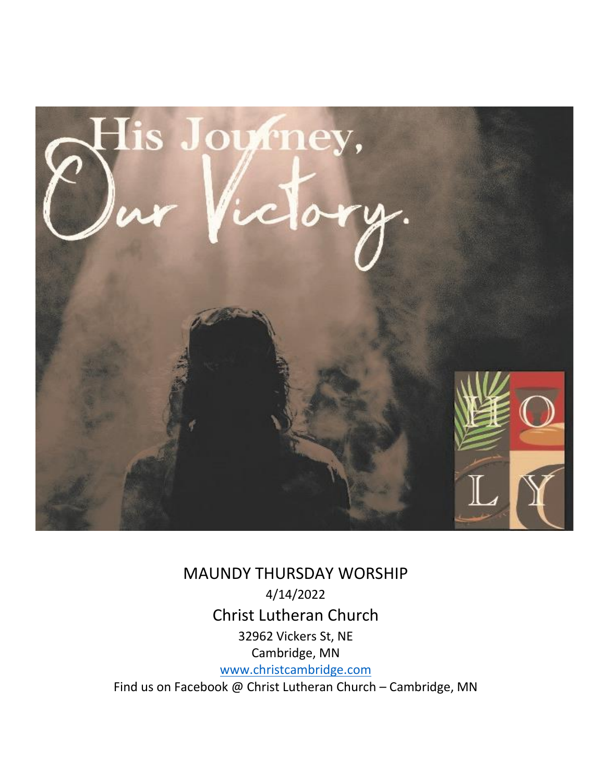

 MAUNDY THURSDAY WORSHIP 4/14/2022 Christ Lutheran Church 32962 Vickers St, NE Cambridge, MN [www.christcambridge.com](http://www.christcambridge.com/) Find us on Facebook @ Christ Lutheran Church – Cambridge, MN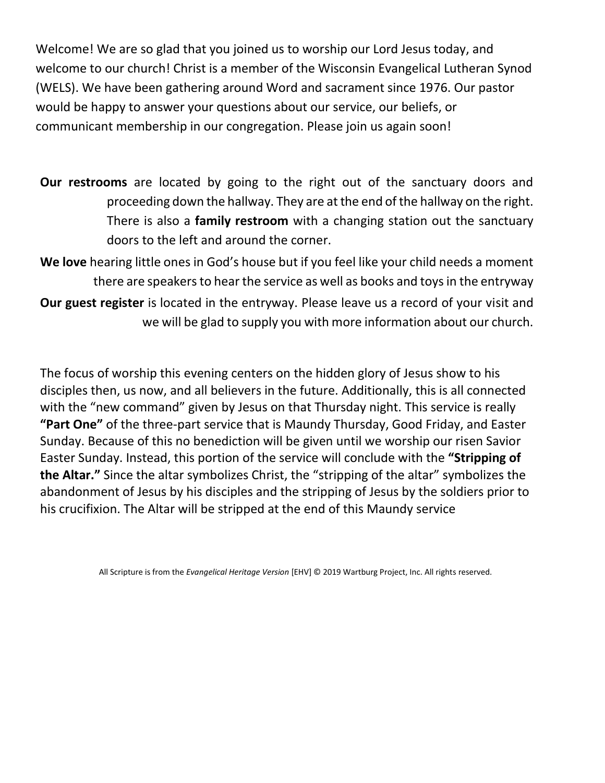Welcome! We are so glad that you joined us to worship our Lord Jesus today, and welcome to our church! Christ is a member of the Wisconsin Evangelical Lutheran Synod (WELS). We have been gathering around Word and sacrament since 1976. Our pastor would be happy to answer your questions about our service, our beliefs, or communicant membership in our congregation. Please join us again soon!

**Our restrooms** are located by going to the right out of the sanctuary doors and proceeding down the hallway. They are at the end of the hallway on the right. There is also a **family restroom** with a changing station out the sanctuary doors to the left and around the corner.

**We love** hearing little ones in God's house but if you feel like your child needs a moment there are speakers to hear the service as well as books and toys in the entryway **Our guest register** is located in the entryway. Please leave us a record of your visit and we will be glad to supply you with more information about our church.

The focus of worship this evening centers on the hidden glory of Jesus show to his disciples then, us now, and all believers in the future. Additionally, this is all connected with the "new command" given by Jesus on that Thursday night. This service is really **"Part One"** of the three-part service that is Maundy Thursday, Good Friday, and Easter Sunday. Because of this no benediction will be given until we worship our risen Savior Easter Sunday. Instead, this portion of the service will conclude with the **"Stripping of the Altar."** Since the altar symbolizes Christ, the "stripping of the altar" symbolizes the abandonment of Jesus by his disciples and the stripping of Jesus by the soldiers prior to his crucifixion. The Altar will be stripped at the end of this Maundy service

All Scripture is from the *Evangelical Heritage Version* [EHV] © 2019 Wartburg Project, Inc. All rights reserved.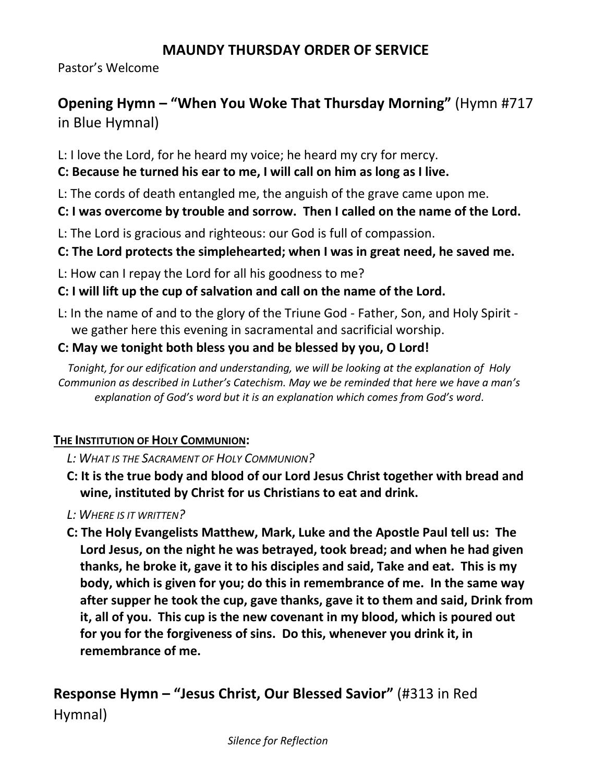#### **MAUNDY THURSDAY ORDER OF SERVICE**

Pastor's Welcome

# **Opening Hymn – "When You Woke That Thursday Morning"** (Hymn #717 in Blue Hymnal)

L: I love the Lord, for he heard my voice; he heard my cry for mercy.

#### **C: Because he turned his ear to me, I will call on him as long as I live.**

L: The cords of death entangled me, the anguish of the grave came upon me.

#### **C: I was overcome by trouble and sorrow. Then I called on the name of the Lord.**

L: The Lord is gracious and righteous: our God is full of compassion.

#### **C: The Lord protects the simplehearted; when I was in great need, he saved me.**

L: How can I repay the Lord for all his goodness to me?

## **C: I will lift up the cup of salvation and call on the name of the Lord.**

L: In the name of and to the glory of the Triune God - Father, Son, and Holy Spirit we gather here this evening in sacramental and sacrificial worship.

#### **C: May we tonight both bless you and be blessed by you, O Lord!**

*Tonight, for our edification and understanding, we will be looking at the explanation of Holy Communion as described in Luther's Catechism. May we be reminded that here we have a man's explanation of God's word but it is an explanation which comes from God's word*.

#### **THE INSTITUTION OF HOLY COMMUNION:**

#### *L: WHAT IS THE SACRAMENT OF HOLY COMMUNION?*

- **C: It is the true body and blood of our Lord Jesus Christ together with bread and wine, instituted by Christ for us Christians to eat and drink.**
- *L: WHERE IS IT WRITTEN?*
- **C: The Holy Evangelists Matthew, Mark, Luke and the Apostle Paul tell us: The Lord Jesus, on the night he was betrayed, took bread; and when he had given thanks, he broke it, gave it to his disciples and said, Take and eat. This is my body, which is given for you; do this in remembrance of me. In the same way after supper he took the cup, gave thanks, gave it to them and said, Drink from it, all of you. This cup is the new covenant in my blood, which is poured out for you for the forgiveness of sins. Do this, whenever you drink it, in remembrance of me.**

# **Response Hymn – "Jesus Christ, Our Blessed Savior"** (#313 in Red

Hymnal)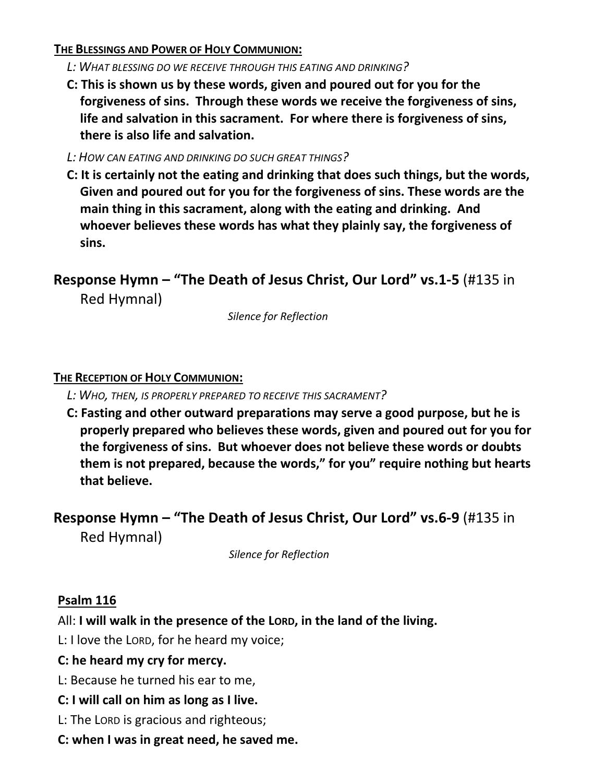#### **THE BLESSINGS AND POWER OF HOLY COMMUNION:**

- *L: WHAT BLESSING DO WE RECEIVE THROUGH THIS EATING AND DRINKING?*
- **C: This is shown us by these words, given and poured out for you for the forgiveness of sins. Through these words we receive the forgiveness of sins, life and salvation in this sacrament. For where there is forgiveness of sins, there is also life and salvation.**
- *L: HOW CAN EATING AND DRINKING DO SUCH GREAT THINGS?*
- **C: It is certainly not the eating and drinking that does such things, but the words, Given and poured out for you for the forgiveness of sins. These words are the main thing in this sacrament, along with the eating and drinking. And whoever believes these words has what they plainly say, the forgiveness of sins.**

**Response Hymn – "The Death of Jesus Christ, Our Lord" vs.1-5** (#135 in Red Hymnal)

*Silence for Reflection*

#### **THE RECEPTION OF HOLY COMMUNION:**

*L: WHO, THEN, IS PROPERLY PREPARED TO RECEIVE THIS SACRAMENT?* 

**C: Fasting and other outward preparations may serve a good purpose, but he is properly prepared who believes these words, given and poured out for you for the forgiveness of sins. But whoever does not believe these words or doubts them is not prepared, because the words," for you" require nothing but hearts that believe.**

**Response Hymn – "The Death of Jesus Christ, Our Lord" vs.6-9** (#135 in

Red Hymnal)

*Silence for Reflection*

#### **Psalm 116**

All: **I will walk in the presence of the LORD, in the land of the living.**

L: I love the LORD, for he heard my voice;

#### **C: he heard my cry for mercy.**

- L: Because he turned his ear to me,
- **C: I will call on him as long as I live.**
- L: The LORD is gracious and righteous;
- **C: when I was in great need, he saved me.**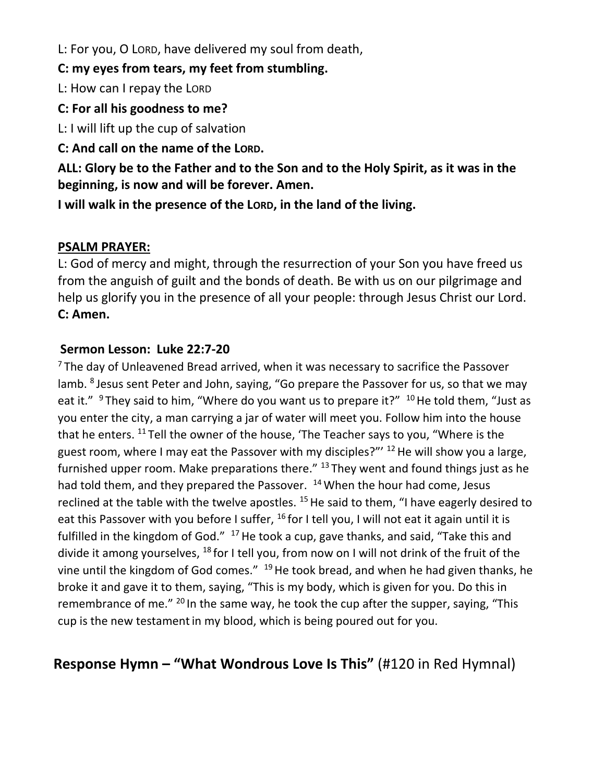L: For you, O LORD, have delivered my soul from death,

**C: my eyes from tears, my feet from stumbling.**

L: How can I repay the LORD

**C: For all his goodness to me?**

L: I will lift up the cup of salvation

**C: And call on the name of the LORD.**

**ALL: Glory be to the Father and to the Son and to the Holy Spirit, as it was in the beginning, is now and will be forever. Amen.**

**I will walk in the presence of the LORD, in the land of the living.**

#### **PSALM PRAYER:**

L: God of mercy and might, through the resurrection of your Son you have freed us from the anguish of guilt and the bonds of death. Be with us on our pilgrimage and help us glorify you in the presence of all your people: through Jesus Christ our Lord. **C: Amen.**

#### **Sermon Lesson: Luke 22:7-20**

 $7$  The day of Unleavened Bread arrived, when it was necessary to sacrifice the Passover lamb. <sup>8</sup> Jesus sent Peter and John, saying, "Go prepare the Passover for us, so that we may eat it." <sup>9</sup> They said to him, "Where do you want us to prepare it?" <sup>10</sup> He told them, "Just as you enter the city, a man carrying a jar of water will meet you. Follow him into the house that he enters.  $^{11}$  Tell the owner of the house, 'The Teacher says to you, "Where is the guest room, where I may eat the Passover with my disciples?"<sup>12</sup> He will show you a large, furnished upper room. Make preparations there."  $13$  They went and found things just as he had told them, and they prepared the Passover. <sup>14</sup> When the hour had come, Jesus reclined at the table with the twelve apostles.  $15$  He said to them, "I have eagerly desired to eat this Passover with you before I suffer,  $^{16}$  for I tell you, I will not eat it again until it is fulfilled in the kingdom of God." <sup>17</sup> He took a cup, gave thanks, and said, "Take this and divide it among yourselves, <sup>18</sup> for I tell you, from now on I will not drink of the fruit of the vine until the kingdom of God comes." <sup>19</sup> He took bread, and when he had given thanks, he broke it and gave it to them, saying, "This is my body, which is given for you. Do this in remembrance of me."  $^{20}$  In the same way, he took the cup after the supper, saying, "This cup is the new testamentin my blood, which is being poured out for you.

# **Response Hymn – "What Wondrous Love Is This"** (#120 in Red Hymnal)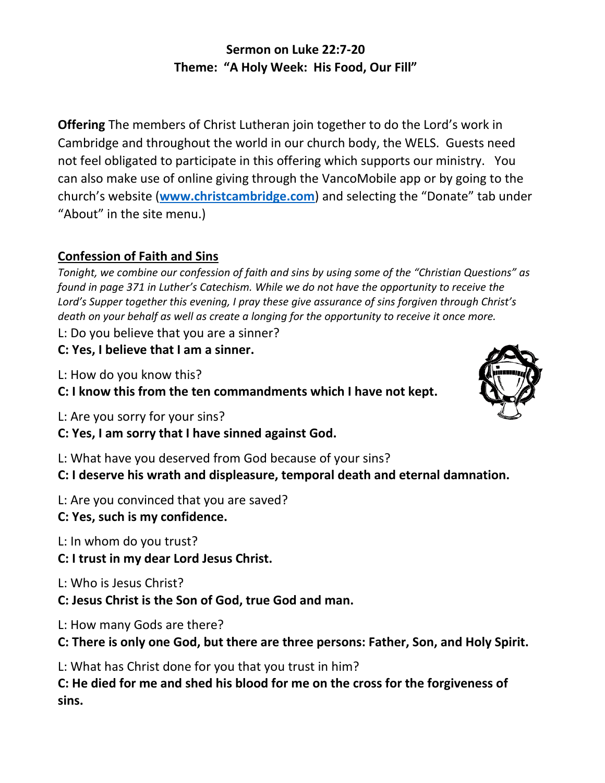## **Sermon on Luke 22:7-20 Theme: "A Holy Week: His Food, Our Fill"**

**Offering** The members of Christ Lutheran join together to do the Lord's work in Cambridge and throughout the world in our church body, the WELS. Guests need not feel obligated to participate in this offering which supports our ministry. You can also make use of online giving through the VancoMobile app or by going to the church's website (**[www.christcambridge.com](http://www.christcambridge.com/)**) and selecting the "Donate" tab under "About" in the site menu.)

#### **Confession of Faith and Sins**

*Tonight, we combine our confession of faith and sins by using some of the "Christian Questions" as found in page 371 in Luther's Catechism. While we do not have the opportunity to receive the Lord's Supper together this evening, I pray these give assurance of sins forgiven through Christ's death on your behalf as well as create a longing for the opportunity to receive it once more.*

L: Do you believe that you are a sinner?

**C: Yes, I believe that I am a sinner.**

L: How do you know this?

**C: I know this from the ten commandments which I have not kept.**

- L: Are you sorry for your sins?
- **C: Yes, I am sorry that I have sinned against God.**

L: What have you deserved from God because of your sins?

**C: I deserve his wrath and displeasure, temporal death and eternal damnation.**

- L: Are you convinced that you are saved?
- **C: Yes, such is my confidence.**

L: In whom do you trust?

- **C: I trust in my dear Lord Jesus Christ.**
- L: Who is Jesus Christ?
- **C: Jesus Christ is the Son of God, true God and man.**

L: How many Gods are there?

**C: There is only one God, but there are three persons: Father, Son, and Holy Spirit.**

L: What has Christ done for you that you trust in him?

**C: He died for me and shed his blood for me on the cross for the forgiveness of sins.**

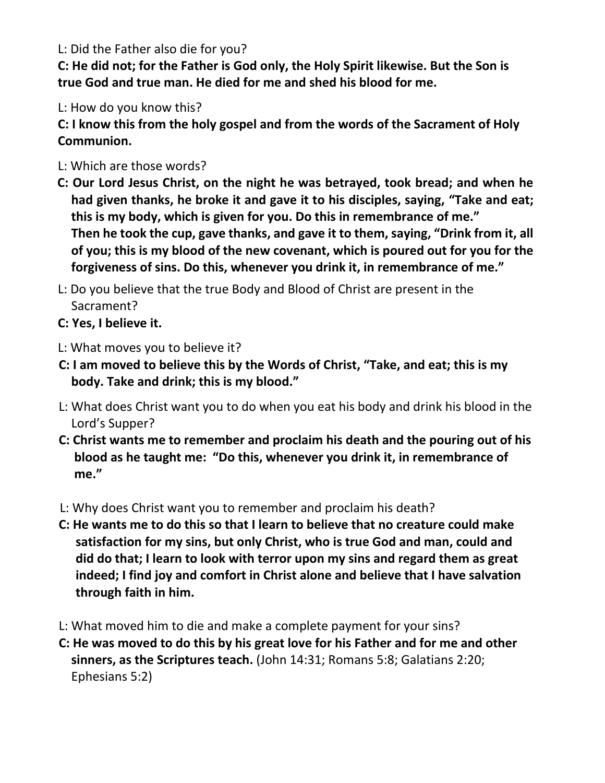L: Did the Father also die for you?

**C: He did not; for the Father is God only, the Holy Spirit likewise. But the Son is true God and true man. He died for me and shed his blood for me.**

L: How do you know this?

**C: I know this from the holy gospel and from the words of the Sacrament of Holy Communion.**

- L: Which are those words?
- **C: Our Lord Jesus Christ, on the night he was betrayed, took bread; and when he had given thanks, he broke it and gave it to his disciples, saying, "Take and eat; this is my body, which is given for you. Do this in remembrance of me." Then he took the cup, gave thanks, and gave it to them, saying, "Drink from it, all of you; this is my blood of the new covenant, which is poured out for you for the forgiveness of sins. Do this, whenever you drink it, in remembrance of me."**
- L: Do you believe that the true Body and Blood of Christ are present in the Sacrament?
- **C: Yes, I believe it.**
- L: What moves you to believe it?
- **C: I am moved to believe this by the Words of Christ, "Take, and eat; this is my body. Take and drink; this is my blood."**
- L: What does Christ want you to do when you eat his body and drink his blood in the Lord's Supper?
- **C: Christ wants me to remember and proclaim his death and the pouring out of his blood as he taught me: "Do this, whenever you drink it, in remembrance of me."**
- L: Why does Christ want you to remember and proclaim his death?
- **C: He wants me to do this so that I learn to believe that no creature could make satisfaction for my sins, but only Christ, who is true God and man, could and did do that; I learn to look with terror upon my sins and regard them as great indeed; I find joy and comfort in Christ alone and believe that I have salvation through faith in him.**
- L: What moved him to die and make a complete payment for your sins?
- **C: He was moved to do this by his great love for his Father and for me and other sinners, as the Scriptures teach.** (John 14:31; Romans 5:8; Galatians 2:20; Ephesians 5:2)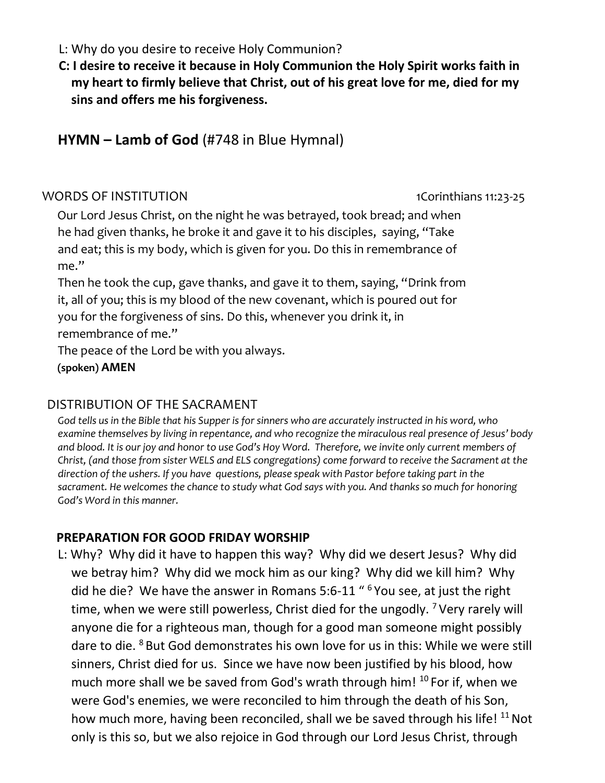- L: Why do you desire to receive Holy Communion?
- **C: I desire to receive it because in Holy Communion the Holy Spirit works faith in my heart to firmly believe that Christ, out of his great love for me, died for my sins and offers me his forgiveness.**

**HYMN – Lamb of God** (#748 in Blue Hymnal)

#### WORDS OF INSTITUTION 1Corinthians 11:23-25

Our Lord Jesus Christ, on the night he was betrayed, took bread; and when he had given thanks, he broke it and gave it to his disciples, saying, "Take and eat; this is my body, which is given for you. Do this in remembrance of me."

Then he took the cup, gave thanks, and gave it to them, saying, "Drink from it, all of you; this is my blood of the new covenant, which is poured out for you for the forgiveness of sins. Do this, whenever you drink it, in remembrance of me."

The peace of the Lord be with you always.

**(spoken) AMEN**

#### DISTRIBUTION OF THE SACRAMENT

*God tells us in the Bible that his Supper is for sinners who are accurately instructed in his word, who examine themselves by living in repentance, and who recognize the miraculous real presence of Jesus' body and blood. It is our joy and honor to use God's Hoy Word. Therefore, we invite only current members of Christ, (and those from sister WELS and ELS congregations) come forward to receive the Sacrament at the direction of the ushers. If you have questions, please speak with Pastor before taking part in the sacrament. He welcomes the chance to study what God says with you. And thanks so much for honoring God's Word in this manner.*

#### **PREPARATION FOR GOOD FRIDAY WORSHIP**

L: Why? Why did it have to happen this way? Why did we desert Jesus? Why did we betray him? Why did we mock him as our king? Why did we kill him? Why did he die? We have the answer in Romans 5:6-11 "<sup>6</sup> You see, at just the right time, when we were still powerless, Christ died for the ungodly. <sup>7</sup> Very rarely will anyone die for a righteous man, though for a good man someone might possibly dare to die. <sup>8</sup> But God demonstrates his own love for us in this: While we were still sinners, Christ died for us. Since we have now been justified by his blood, how much more shall we be saved from God's wrath through him! <sup>10</sup> For if, when we were God's enemies, we were reconciled to him through the death of his Son, how much more, having been reconciled, shall we be saved through his life! <sup>11</sup> Not only is this so, but we also rejoice in God through our Lord Jesus Christ, through